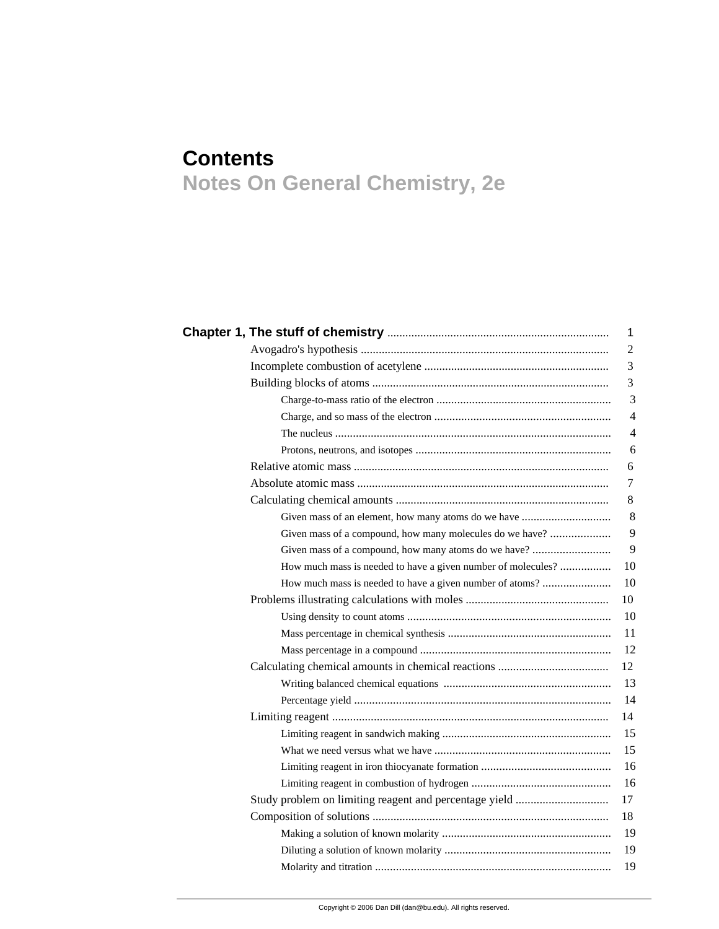## **Contents Notes On General Chemistry, 2e**

|                                                              | 1              |
|--------------------------------------------------------------|----------------|
|                                                              | $\mathbf{2}$   |
|                                                              | 3              |
|                                                              | 3              |
|                                                              | 3              |
|                                                              | $\overline{4}$ |
|                                                              | $\overline{4}$ |
|                                                              | 6              |
|                                                              | 6              |
|                                                              | $\tau$         |
|                                                              | 8              |
|                                                              | 8              |
| Given mass of a compound, how many molecules do we have?     | 9              |
|                                                              | 9              |
| How much mass is needed to have a given number of molecules? | 10             |
| How much mass is needed to have a given number of atoms?     | 10             |
|                                                              | 10             |
|                                                              | 10             |
|                                                              | 11             |
|                                                              | 12             |
|                                                              | 12             |
|                                                              | 13             |
|                                                              | 14             |
|                                                              | 14             |
|                                                              | 15             |
|                                                              | 15             |
|                                                              | 16             |
|                                                              | 16             |
| Study problem on limiting reagent and percentage yield       | 17             |
|                                                              | 18             |
|                                                              | 19             |
|                                                              | 19             |
|                                                              | 19             |
|                                                              |                |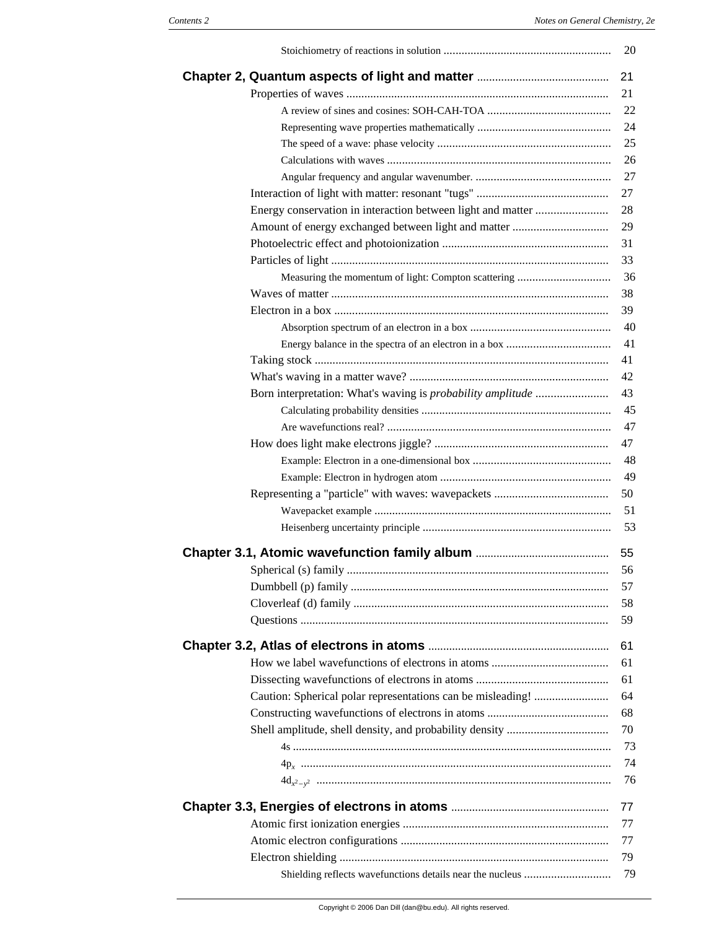|                                                           | 20 |
|-----------------------------------------------------------|----|
|                                                           | 21 |
|                                                           | 21 |
|                                                           | 22 |
|                                                           | 24 |
|                                                           | 25 |
|                                                           | 26 |
|                                                           | 27 |
|                                                           | 27 |
|                                                           | 28 |
|                                                           | 29 |
|                                                           | 31 |
|                                                           | 33 |
| Measuring the momentum of light: Compton scattering       | 36 |
|                                                           | 38 |
|                                                           | 39 |
|                                                           | 40 |
|                                                           | 41 |
|                                                           | 41 |
|                                                           | 42 |
|                                                           | 43 |
|                                                           | 45 |
|                                                           | 47 |
|                                                           | 47 |
|                                                           | 48 |
|                                                           | 49 |
|                                                           | 50 |
|                                                           |    |
|                                                           | 51 |
|                                                           | 53 |
|                                                           | 55 |
|                                                           | 56 |
|                                                           | 57 |
|                                                           | 58 |
|                                                           | 59 |
|                                                           | 61 |
|                                                           | 61 |
|                                                           | 61 |
|                                                           | 64 |
|                                                           | 68 |
|                                                           | 70 |
|                                                           | 73 |
|                                                           | 74 |
|                                                           | 76 |
|                                                           | 77 |
|                                                           | 77 |
|                                                           | 77 |
|                                                           | 79 |
| Shielding reflects wavefunctions details near the nucleus | 79 |
|                                                           |    |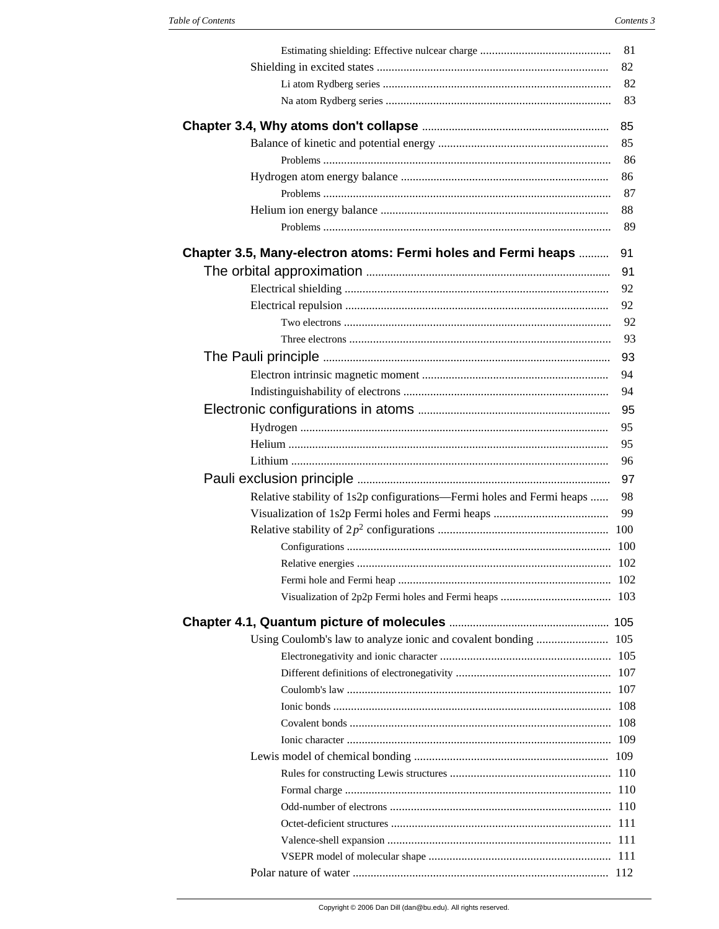|                                                                       | 81  |
|-----------------------------------------------------------------------|-----|
|                                                                       | 82  |
|                                                                       | 82  |
|                                                                       | 83  |
|                                                                       | 85  |
|                                                                       | 85  |
|                                                                       | 86  |
|                                                                       | 86  |
|                                                                       | 87  |
|                                                                       | 88  |
|                                                                       | 89  |
| Chapter 3.5, Many-electron atoms: Fermi holes and Fermi heaps         | 91  |
|                                                                       | 91  |
|                                                                       | 92  |
|                                                                       | 92  |
|                                                                       | 92  |
|                                                                       | 93  |
|                                                                       | 93  |
|                                                                       | 94  |
|                                                                       | 94  |
|                                                                       | 95  |
|                                                                       | 95  |
|                                                                       | 95  |
|                                                                       | 96  |
|                                                                       | 97  |
|                                                                       |     |
| Relative stability of 1s2p configurations—Fermi holes and Fermi heaps | 98  |
|                                                                       | 99  |
|                                                                       |     |
|                                                                       |     |
|                                                                       |     |
|                                                                       |     |
|                                                                       |     |
|                                                                       |     |
|                                                                       | 105 |
|                                                                       |     |
|                                                                       |     |
|                                                                       |     |
|                                                                       |     |
|                                                                       |     |
|                                                                       |     |
|                                                                       |     |
|                                                                       |     |
|                                                                       |     |
|                                                                       |     |
|                                                                       |     |
|                                                                       |     |
|                                                                       |     |
|                                                                       |     |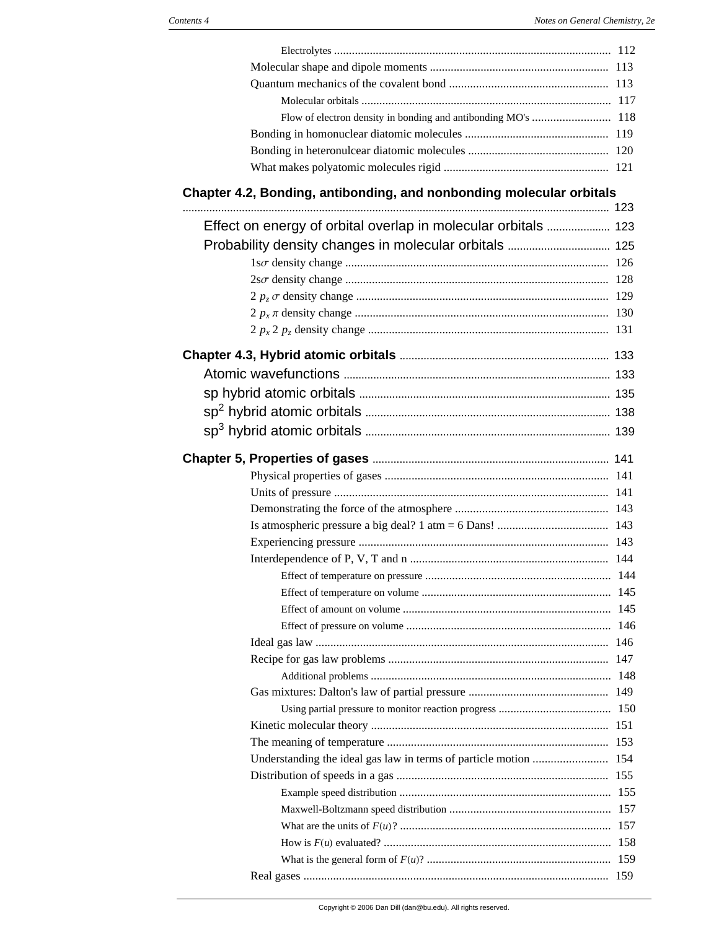| Chapter 4.2, Bonding, antibonding, and nonbonding molecular orbitals |  |
|----------------------------------------------------------------------|--|
| Effect on energy of orbital overlap in molecular orbitals  123       |  |
|                                                                      |  |
|                                                                      |  |
|                                                                      |  |
|                                                                      |  |
|                                                                      |  |
|                                                                      |  |
|                                                                      |  |
|                                                                      |  |
|                                                                      |  |
|                                                                      |  |
|                                                                      |  |
|                                                                      |  |
|                                                                      |  |
|                                                                      |  |
|                                                                      |  |
|                                                                      |  |
|                                                                      |  |
|                                                                      |  |
|                                                                      |  |
|                                                                      |  |
|                                                                      |  |
|                                                                      |  |
|                                                                      |  |
|                                                                      |  |
|                                                                      |  |
|                                                                      |  |
|                                                                      |  |
|                                                                      |  |
|                                                                      |  |
|                                                                      |  |
|                                                                      |  |
|                                                                      |  |
|                                                                      |  |
|                                                                      |  |
|                                                                      |  |
|                                                                      |  |
|                                                                      |  |
|                                                                      |  |
|                                                                      |  |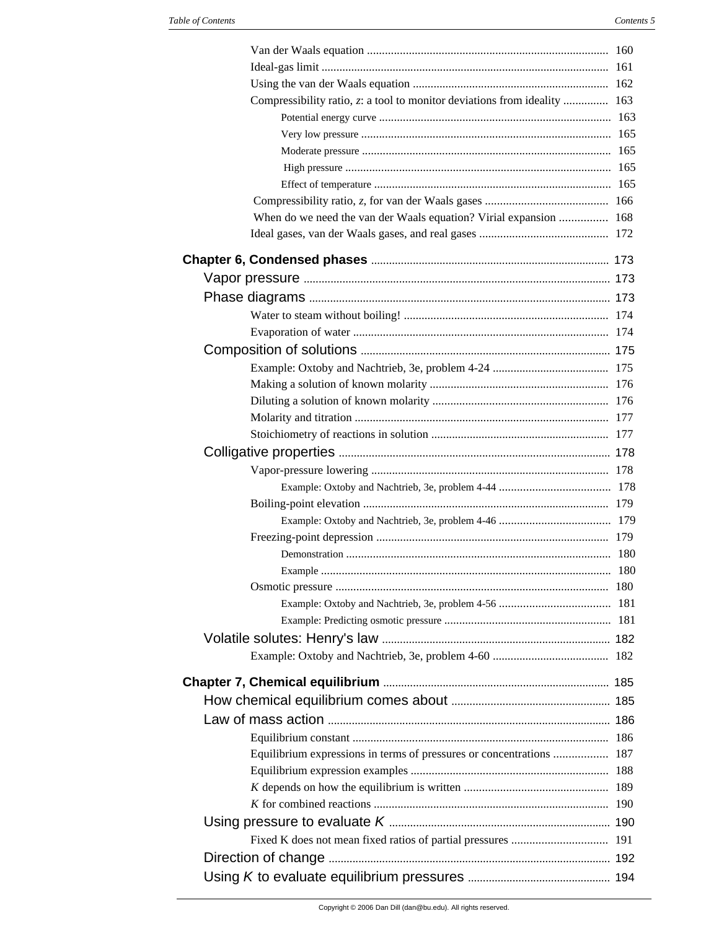| Compressibility ratio, z: a tool to monitor deviations from ideality  163 |  |
|---------------------------------------------------------------------------|--|
|                                                                           |  |
|                                                                           |  |
|                                                                           |  |
|                                                                           |  |
|                                                                           |  |
|                                                                           |  |
| When do we need the van der Waals equation? Virial expansion  168         |  |
|                                                                           |  |
|                                                                           |  |
|                                                                           |  |
|                                                                           |  |
|                                                                           |  |
|                                                                           |  |
|                                                                           |  |
|                                                                           |  |
|                                                                           |  |
|                                                                           |  |
|                                                                           |  |
|                                                                           |  |
|                                                                           |  |
|                                                                           |  |
|                                                                           |  |
|                                                                           |  |
|                                                                           |  |
|                                                                           |  |
|                                                                           |  |
|                                                                           |  |
|                                                                           |  |
|                                                                           |  |
|                                                                           |  |
|                                                                           |  |
|                                                                           |  |
|                                                                           |  |
|                                                                           |  |
|                                                                           |  |
|                                                                           |  |
|                                                                           |  |
| Equilibrium expressions in terms of pressures or concentrations  187      |  |
|                                                                           |  |
|                                                                           |  |
|                                                                           |  |
|                                                                           |  |
|                                                                           |  |
|                                                                           |  |
|                                                                           |  |
|                                                                           |  |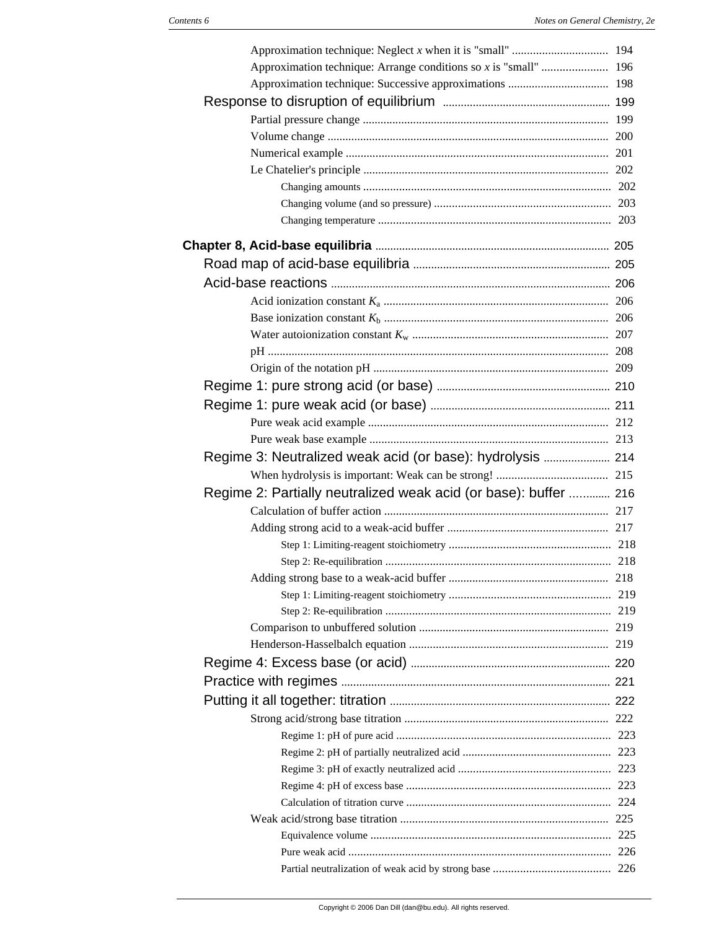| Regime 2: Partially neutralized weak acid (or base): buffer  216 |  |
|------------------------------------------------------------------|--|
|                                                                  |  |
|                                                                  |  |
|                                                                  |  |
|                                                                  |  |
|                                                                  |  |
|                                                                  |  |
|                                                                  |  |
|                                                                  |  |
|                                                                  |  |
|                                                                  |  |
|                                                                  |  |
|                                                                  |  |
|                                                                  |  |
|                                                                  |  |
|                                                                  |  |
|                                                                  |  |
|                                                                  |  |
|                                                                  |  |
|                                                                  |  |
|                                                                  |  |
|                                                                  |  |
|                                                                  |  |
|                                                                  |  |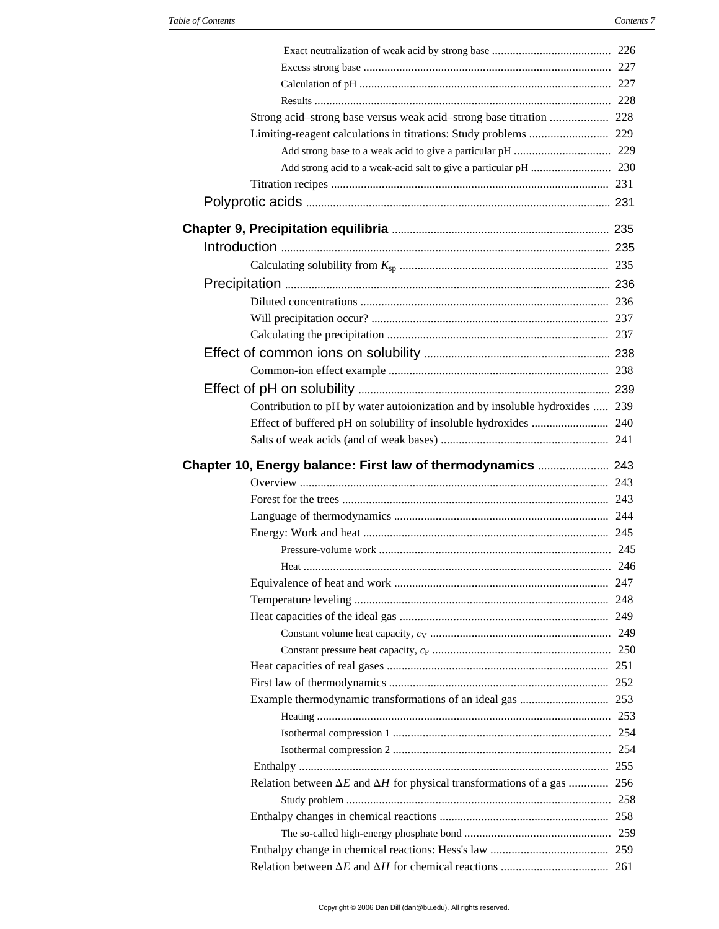| Strong acid-strong base versus weak acid-strong base titration  228                   |  |
|---------------------------------------------------------------------------------------|--|
|                                                                                       |  |
|                                                                                       |  |
|                                                                                       |  |
|                                                                                       |  |
|                                                                                       |  |
|                                                                                       |  |
|                                                                                       |  |
|                                                                                       |  |
|                                                                                       |  |
|                                                                                       |  |
|                                                                                       |  |
|                                                                                       |  |
|                                                                                       |  |
|                                                                                       |  |
|                                                                                       |  |
|                                                                                       |  |
|                                                                                       |  |
| Contribution to pH by water autoionization and by insoluble hydroxides  239           |  |
|                                                                                       |  |
|                                                                                       |  |
| Chapter 10, Energy balance: First law of thermodynamics  243                          |  |
|                                                                                       |  |
|                                                                                       |  |
|                                                                                       |  |
|                                                                                       |  |
|                                                                                       |  |
|                                                                                       |  |
|                                                                                       |  |
|                                                                                       |  |
|                                                                                       |  |
|                                                                                       |  |
|                                                                                       |  |
|                                                                                       |  |
|                                                                                       |  |
|                                                                                       |  |
|                                                                                       |  |
|                                                                                       |  |
|                                                                                       |  |
|                                                                                       |  |
| Relation between $\Delta E$ and $\Delta H$ for physical transformations of a gas  256 |  |
|                                                                                       |  |
|                                                                                       |  |
|                                                                                       |  |
|                                                                                       |  |
|                                                                                       |  |
|                                                                                       |  |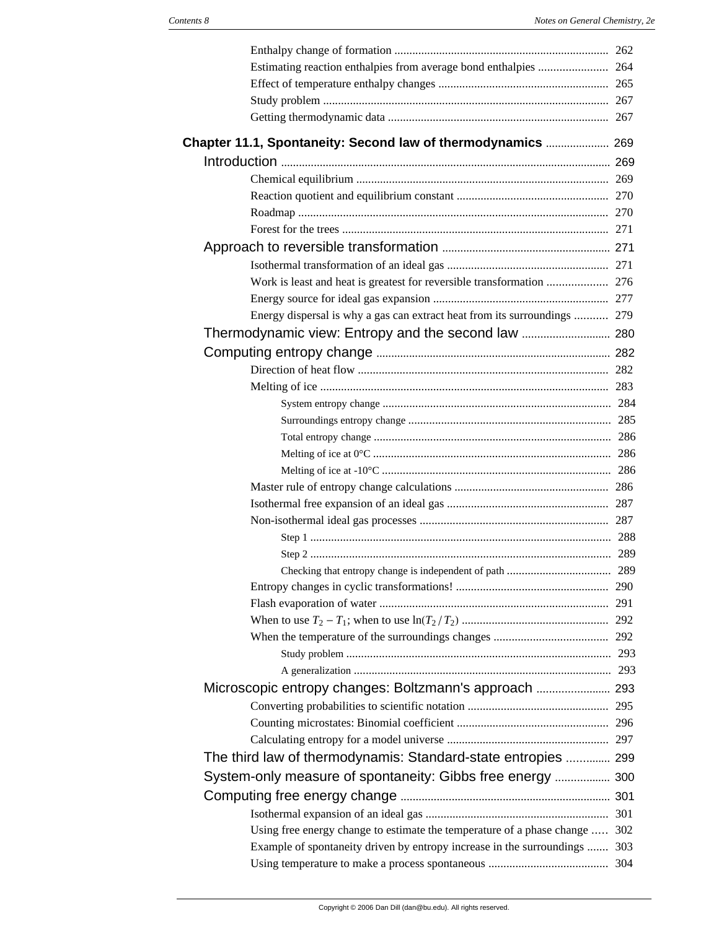| Chapter 11.1, Spontaneity: Second law of thermodynamics  269                |     |
|-----------------------------------------------------------------------------|-----|
|                                                                             |     |
|                                                                             |     |
|                                                                             |     |
|                                                                             |     |
|                                                                             |     |
|                                                                             |     |
|                                                                             |     |
|                                                                             |     |
|                                                                             |     |
| Energy dispersal is why a gas can extract heat from its surroundings  279   |     |
|                                                                             |     |
|                                                                             |     |
|                                                                             |     |
|                                                                             |     |
|                                                                             |     |
|                                                                             |     |
|                                                                             |     |
|                                                                             |     |
|                                                                             |     |
|                                                                             |     |
|                                                                             |     |
|                                                                             |     |
|                                                                             |     |
|                                                                             |     |
| Checking that entropy change is independent of path                         | 289 |
|                                                                             |     |
|                                                                             |     |
|                                                                             |     |
|                                                                             |     |
|                                                                             |     |
|                                                                             |     |
|                                                                             |     |
|                                                                             |     |
|                                                                             |     |
|                                                                             |     |
| The third law of thermodynamis: Standard-state entropies  299               |     |
| System-only measure of spontaneity: Gibbs free energy  300                  |     |
|                                                                             |     |
|                                                                             |     |
| Using free energy change to estimate the temperature of a phase change  302 |     |
| Example of spontaneity driven by entropy increase in the surroundings  303  |     |
|                                                                             |     |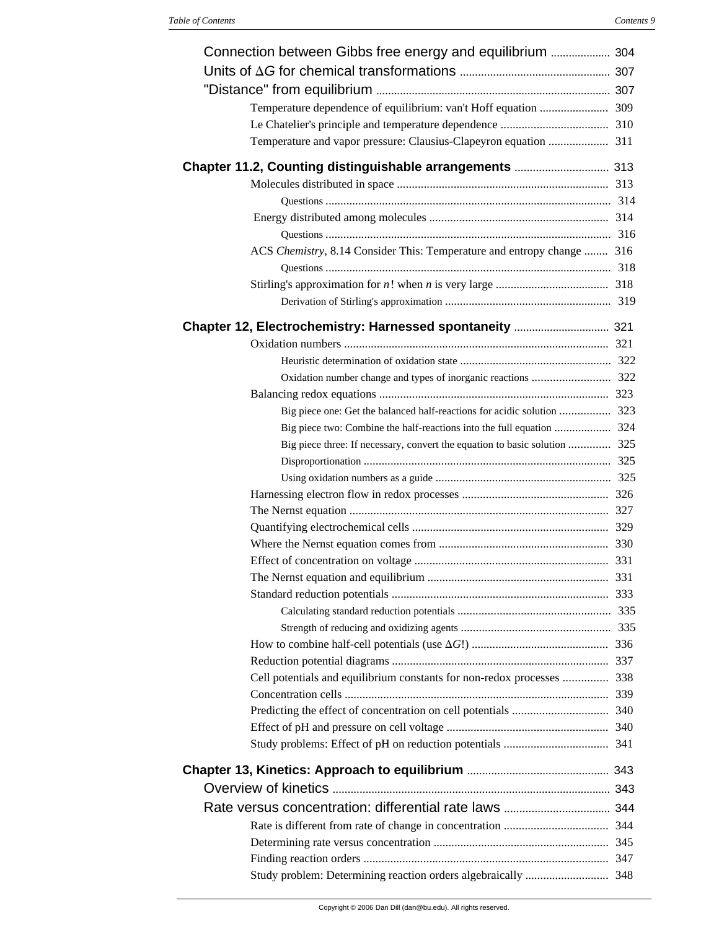| Chapter 11.2, Counting distinguishable arrangements  313                   |  |
|----------------------------------------------------------------------------|--|
|                                                                            |  |
|                                                                            |  |
|                                                                            |  |
|                                                                            |  |
| ACS Chemistry, 8.14 Consider This: Temperature and entropy change  316     |  |
|                                                                            |  |
|                                                                            |  |
|                                                                            |  |
|                                                                            |  |
|                                                                            |  |
|                                                                            |  |
|                                                                            |  |
|                                                                            |  |
|                                                                            |  |
|                                                                            |  |
| Big piece three: If necessary, convert the equation to basic solution  325 |  |
|                                                                            |  |
|                                                                            |  |
|                                                                            |  |
|                                                                            |  |
|                                                                            |  |
|                                                                            |  |
|                                                                            |  |
|                                                                            |  |
|                                                                            |  |
|                                                                            |  |
|                                                                            |  |
|                                                                            |  |
|                                                                            |  |
| Cell potentials and equilibrium constants for non-redox processes  338     |  |
|                                                                            |  |
|                                                                            |  |
|                                                                            |  |
|                                                                            |  |
|                                                                            |  |
|                                                                            |  |
|                                                                            |  |
|                                                                            |  |
|                                                                            |  |
|                                                                            |  |
|                                                                            |  |
|                                                                            |  |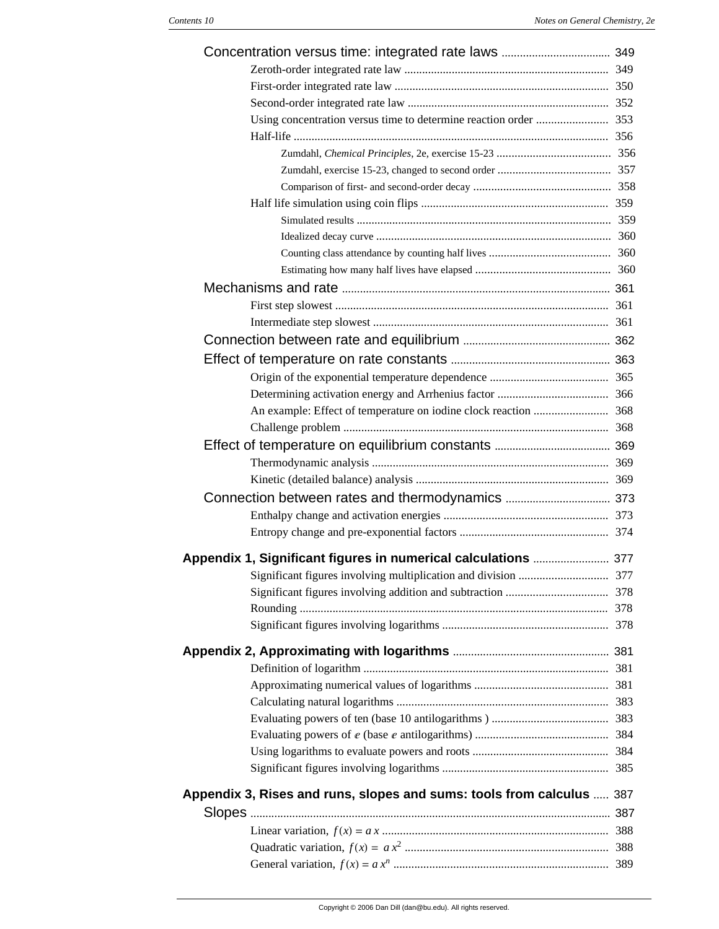| Appendix 1, Significant figures in numerical calculations  377        |  |
|-----------------------------------------------------------------------|--|
|                                                                       |  |
|                                                                       |  |
|                                                                       |  |
|                                                                       |  |
|                                                                       |  |
|                                                                       |  |
|                                                                       |  |
|                                                                       |  |
|                                                                       |  |
|                                                                       |  |
|                                                                       |  |
|                                                                       |  |
|                                                                       |  |
| Appendix 3, Rises and runs, slopes and sums: tools from calculus  387 |  |
|                                                                       |  |
|                                                                       |  |
|                                                                       |  |
|                                                                       |  |
|                                                                       |  |